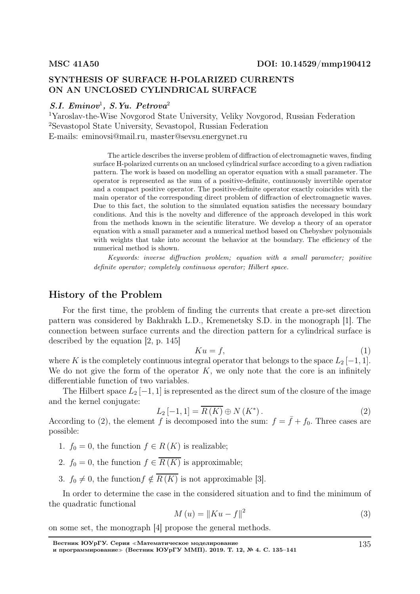## SYNTHESIS OF SURFACE H-POLARIZED CURRENTS ON AN UNCLOSED CYLINDRICAL SURFACE

## $S.I.$  Eminov<sup>1</sup>, S.Yu. Petrova<sup>2</sup>

<sup>1</sup>Yaroslav-the-Wise Novgorod State University, Veliky Novgorod, Russian Federation <sup>2</sup>Sevastopol State University, Sevastopol, Russian Federation E-mails: eminovsi@mail.ru, master@sevsu.energynet.ru

> The article describes the inverse problem of diffraction of electromagnetic waves, finding surface H-polarized currents on an unclosed cylindrical surface according to a given radiation pattern. The work is based on modelling an operator equation with a small parameter. The operator is represented as the sum of a positive-definite, continuously invertible operator and a compact positive operator. The positive-definite operator exactly coincides with the main operator of the corresponding direct problem of diffraction of electromagnetic waves. Due to this fact, the solution to the simulated equation satisfies the necessary boundary conditions. And this is the novelty and difference of the approach developed in this work from the methods known in the scientific literature. We develop a theory of an operator equation with a small parameter and a numerical method based on Chebyshev polynomials with weights that take into account the behavior at the boundary. The efficiency of the numerical method is shown.

> Keywords: inverse diffraction problem; equation with a small parameter; positive definite operator; completely continuous operator; Hilbert space.

#### History of the Problem

For the first time, the problem of finding the currents that create a pre-set direction pattern was considered by Bakhrakh L.D., Kremenetsky S.D. in the monograph [1]. The connection between surface currents and the direction pattern for a cylindrical surface is described by the equation [2, p. 145]

$$
Ku = f,\tag{1}
$$

where K is the completely continuous integral operator that belongs to the space  $L_2[-1,1]$ . We do not give the form of the operator  $K$ , we only note that the core is an infinitely differentiable function of two variables.

The Hilbert space  $L_2[-1,1]$  is represented as the direct sum of the closure of the image and the kernel conjugate:

$$
L_2\left[-1,1\right] = \overline{R\left(K\right)} \oplus N\left(K^*\right). \tag{2}
$$

According to (2), the element f is decomposed into the sum:  $f = \bar{f} + f_0$ . Three cases are possible:

- 1.  $f_0 = 0$ , the function  $f \in R(K)$  is realizable;
- 2.  $f_0 = 0$ , the function  $f \in \overline{R(K)}$  is approximable;
- 3.  $f_0 \neq 0$ , the function  $f \notin \overline{R(K)}$  is not approximable [3].

In order to determine the case in the considered situation and to find the minimum of the quadratic functional

$$
M(u) = \|Ku - f\|^2
$$
 (3)

on some set, the monograph [4] propose the general methods.

135

Вестник ЮУрГУ. Серия <sup>≪</sup>Математическое моделирование

и программирование<sup>≫</sup> (Вестник ЮУрГУ ММП). 2019. Т. 12, № 4. С. 135–141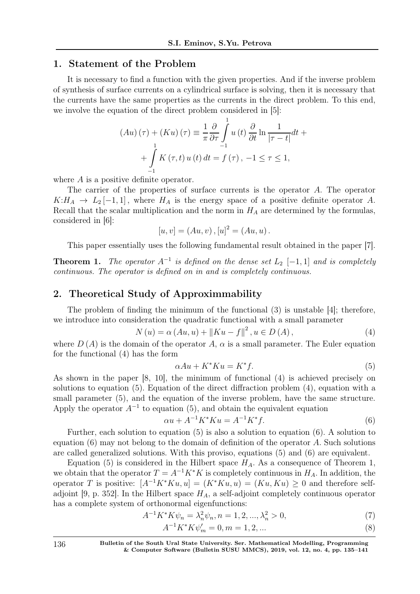#### 1. Statement of the Problem

It is necessary to find a function with the given properties. And if the inverse problem of synthesis of surface currents on a cylindrical surface is solving, then it is necessary that the currents have the same properties as the currents in the direct problem. To this end, we involve the equation of the direct problem considered in [5]:

$$
(Au) (\tau) + (Ku) (\tau) \equiv \frac{1}{\pi} \frac{\partial}{\partial \tau} \int_{-1}^{1} u(t) \frac{\partial}{\partial t} \ln \frac{1}{|\tau - t|} dt + \int_{-1}^{1} K(\tau, t) u(t) dt = f(\tau), -1 \le \tau \le 1,
$$

where A is a positive definite operator.

The carrier of the properties of surface currents is the operator A. The operator  $K: H_A \to L_2[-1,1],$  where  $H_A$  is the energy space of a positive definite operator A. Recall that the scalar multiplication and the norm in  $H_A$  are determined by the formulas, considered in [6]:

$$
[u, v] = (Au, v), [u]^2 = (Au, u).
$$

This paper essentially uses the following fundamental result obtained in the paper [7].

**Theorem 1.** The operator  $A^{-1}$  is defined on the dense set  $L_2$  [-1, 1] and is completely continuous. The operator is defined on in and is completely continuous.

## 2. Theoretical Study of Approximmability

The problem of finding the minimum of the functional (3) is unstable [4]; therefore, we introduce into consideration the quadratic functional with a small parameter

$$
N(u) = \alpha (Au, u) + || Ku - f||^{2}, u \in D(A),
$$
\n(4)

where  $D(A)$  is the domain of the operator A,  $\alpha$  is a small parameter. The Euler equation for the functional (4) has the form

$$
\alpha Au + K^* Ku = K^* f. \tag{5}
$$

As shown in the paper [8, 10], the minimum of functional (4) is achieved precisely on solutions to equation (5). Equation of the direct diffraction problem (4), equation with a small parameter (5), and the equation of the inverse problem, have the same structure. Apply the operator  $A^{-1}$  to equation (5), and obtain the equivalent equation

$$
\alpha u + A^{-1} K^* K u = A^{-1} K^* f. \tag{6}
$$

Further, each solution to equation (5) is also a solution to equation (6). A solution to equation  $(6)$  may not belong to the domain of definition of the operator A. Such solutions are called generalized solutions. With this proviso, equations (5) and (6) are equivalent.

Equation (5) is considered in the Hilbert space  $H_A$ . As a consequence of Theorem 1, we obtain that the operator  $T = A^{-1}K^*K$  is completely continuous in  $H_A$ . In addition, the operator T is positive:  $[A^{-1}K^*Ku, u] = (K^*Ku, u) = (Ku, Ku) \geq 0$  and therefore selfadjoint [9, p. 352]. In the Hilbert space  $H_A$ , a self-adjoint completely continuous operator has a complete system of orthonormal eigenfunctions:

$$
A^{-1}K^*K\psi_n = \lambda_n^2 \psi_n, n = 1, 2, ..., \lambda_n^2 > 0,
$$
\n(7)

$$
A^{-1}K^*K\psi'_m = 0, m = 1, 2, \dots
$$
\n(8)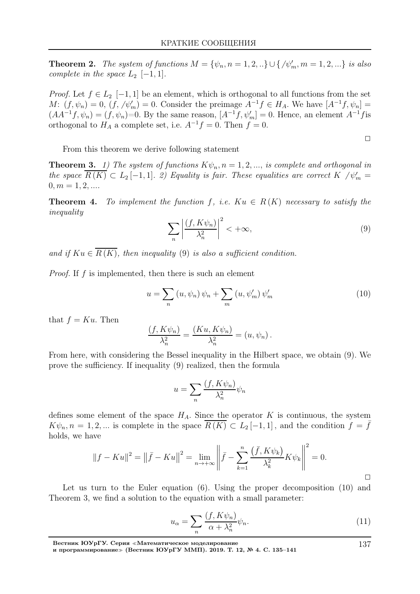**Theorem 2.** The system of functions  $M = \{\psi_n, n = 1, 2, ...\} \cup \{\psi_m', m = 1, 2, ...\}$  is also complete in the space  $L_2$  [−1, 1].

*Proof.* Let  $f \in L_2$  [−1, 1] be an element, which is orthogonal to all functions from the set  $M: (f, \psi_n) = 0, (f, \psi_m) = 0.$  Consider the preimage  $A^{-1}f \in H_A$ . We have  $[A^{-1}f, \psi_n] =$  $(AA^{-1}f, \psi_n) = (f, \psi_n) = 0$ . By the same reason,  $[A^{-1}f, \psi'_m] = 0$ . Hence, an element  $A^{-1}f$  is orthogonal to  $H_A$  a complete set, i.e.  $A^{-1}f = 0$ . Then  $f = 0$ .

$$
\qquad \qquad \Box
$$

From this theorem we derive following statement

**Theorem 3.** 1) The system of functions  $K\psi_n$ ,  $n = 1, 2, \dots$ , is complete and orthogonal in the space  $\overline{R(K)} \subset L_2[-1,1]$ . 2) Equality is fair. These equalities are correct K  $/\psi'_m =$  $0, m = 1, 2, \dots$ 

**Theorem 4.** To implement the function f, i.e.  $Ku \in R(K)$  necessary to satisfy the inequality

$$
\sum_{n} \left| \frac{(f, K\psi_n)}{\lambda_n^2} \right|^2 < +\infty,\tag{9}
$$

and if  $Ku \in \overline{R(K)}$ , then inequality (9) is also a sufficient condition.

*Proof.* If  $f$  is implemented, then there is such an element

$$
u = \sum_{n} \left( u, \psi_n \right) \psi_n + \sum_{m} \left( u, \psi'_m \right) \psi'_m \tag{10}
$$

that  $f = Ku$ . Then

$$
\frac{(f, K\psi_n)}{\lambda_n^2} = \frac{(Ku, K\psi_n)}{\lambda_n^2} = (u, \psi_n).
$$

From here, with considering the Bessel inequality in the Hilbert space, we obtain (9). We prove the sufficiency. If inequality (9) realized, then the formula

$$
u = \sum_{n} \frac{(f, K\psi_n)}{\lambda_n^2} \psi_n
$$

defines some element of the space  $H_A$ . Since the operator K is continuous, the system  $K\psi_n, n = 1, 2, ...$  is complete in the space  $R(K) \subset L_2[-1,1]$ , and the condition  $f = \overline{f}$ holds, we have

$$
||f - Ku||^{2} = ||\bar{f} - Ku||^{2} = \lim_{n \to +\infty} \left||\bar{f} - \sum_{k=1}^{n} \frac{(\bar{f}, K\psi_{k})}{\lambda_{k}^{2}} K\psi_{k} \right||^{2} = 0.
$$

Let us turn to the Euler equation (6). Using the proper decomposition (10) and Theorem 3, we find a solution to the equation with a small parameter:

$$
u_{\alpha} = \sum_{n} \frac{(f, K\psi_n)}{\alpha + \lambda_n^2} \psi_n.
$$
 (11)

и программирование<sup>≫</sup> (Вестник ЮУрГУ ММП). 2019. Т. 12, № 4. С. 135–141

137

 $\Box$ 

Вестник ЮУрГУ. Серия <sup>≪</sup>Математическое моделирование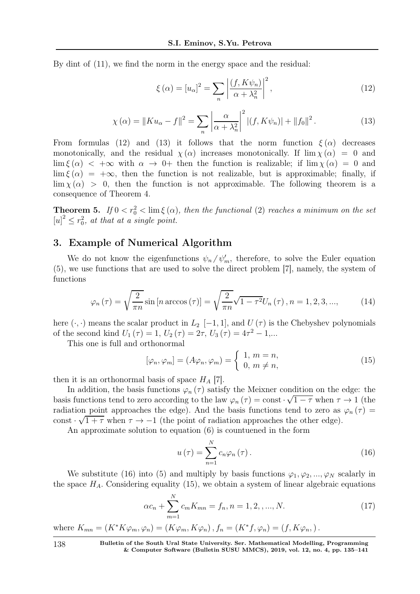By dint of (11), we find the norm in the energy space and the residual:

$$
\xi(\alpha) = [u_{\alpha}]^{2} = \sum_{n} \left| \frac{(f, K\psi_{n})}{\alpha + \lambda_{n}^{2}} \right|^{2},
$$
\n(12)

$$
\chi(\alpha) = \|K u_{\alpha} - f\|^2 = \sum_{n} \left| \frac{\alpha}{\alpha + \lambda_n^2} \right|^2 |(f, K \psi_n)| + \|f_0\|^2.
$$
 (13)

From formulas (12) and (13) it follows that the norm function  $\xi(\alpha)$  decreases monotonically, and the residual  $\chi(\alpha)$  increases monotonically. If  $\lim \chi(\alpha) = 0$  and  $\lim \xi (\alpha) < +\infty$  with  $\alpha \to 0+$  then the function is realizable; if  $\lim \chi (\alpha) = 0$  and  $\lim \xi (\alpha) = +\infty$ , then the function is not realizable, but is approximable; finally, if  $\lim \chi(\alpha) > 0$ , then the function is not approximable. The following theorem is a consequence of Theorem 4.

**Theorem 5.** If  $0 < r_0^2 < \lim \xi(\alpha)$ , then the functional (2) reaches a minimum on the set  $[u]^2 \leq r_0^2$ , at that at a single point.

## 3. Example of Numerical Algorithm

We do not know the eigenfunctions  $\psi_n/\psi'_m$ , therefore, to solve the Euler equation (5), we use functions that are used to solve the direct problem [7], namely, the system of functions

$$
\varphi_n(\tau) = \sqrt{\frac{2}{\pi n}} \sin\left[n \arccos(\tau)\right] = \sqrt{\frac{2}{\pi n}} \sqrt{1 - \tau^2} U_n(\tau), n = 1, 2, 3, ..., \tag{14}
$$

here  $(\cdot, \cdot)$  means the scalar product in  $L_2$  [−1, 1], and  $U(\tau)$  is the Chebyshev polynomials of the second kind  $U_1(\tau) = 1$ ,  $U_2(\tau) = 2\tau$ ,  $U_3(\tau) = 4\tau^2 - 1$ ,...

This one is full and orthonormal

$$
[\varphi_n, \varphi_m] = (A\varphi_n, \varphi_m) = \begin{cases} 1, m = n, \\ 0, m \neq n, \end{cases}
$$
 (15)

then it is an orthonormal basis of space  $H_A$  [7].

In addition, the basis functions  $\varphi_n(\tau)$  satisfy the Meixner condition on the edge: the basis functions tend to zero according to the law  $\varphi_n(\tau) = \text{const} \cdot \sqrt{1-\tau}$  when  $\tau \to 1$  (the radiation point approaches the edge). And the basis functions tend to zero as  $\varphi_n(\tau) =$ const  $\sqrt{1+\tau}$  when  $\tau \to -1$  (the point of radiation approaches the other edge).

An approximate solution to equation (6) is countuened in the form

$$
u(\tau) = \sum_{n=1}^{N} c_n \varphi_n(\tau).
$$
 (16)

We substitute (16) into (5) and multiply by basis functions  $\varphi_1, \varphi_2, ..., \varphi_N$  scalarly in the space  $H_A$ . Considering equality (15), we obtain a system of linear algebraic equations

$$
\alpha c_n + \sum_{m=1}^{N} c_m K_{mn} = f_n, n = 1, 2, ..., N.
$$
 (17)

where  $K_{mn} = (K^*K\varphi_m, \varphi_n) = (K\varphi_m, K\varphi_n)$ ,  $f_n = (K^*f, \varphi_n) = (f, K\varphi_n)$ .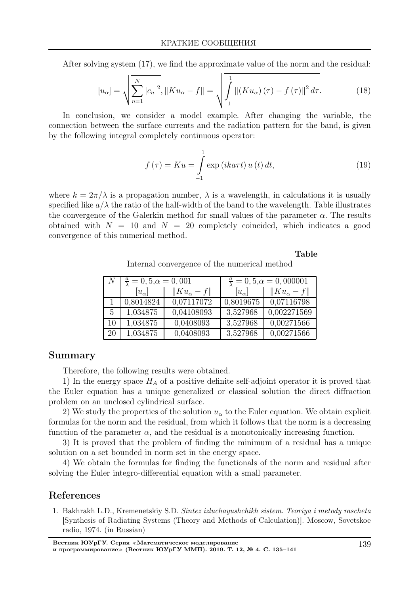After solving system (17), we find the approximate value of the norm and the residual:

$$
[u_{\alpha}] = \sqrt{\sum_{n=1}^{N} |c_{n}|^{2}}, ||K u_{\alpha} - f|| = \sqrt{\int_{-1}^{1} ||(K u_{\alpha})(\tau) - f(\tau)||^{2} d\tau}.
$$
 (18)

In conclusion, we consider a model example. After changing the variable, the connection between the surface currents and the radiation pattern for the band, is given by the following integral completely continuous operator:

$$
f(\tau) = Ku = \int_{-1}^{1} \exp\left(ikat\tau t\right)u\left(t\right)dt,\tag{19}
$$

where  $k = 2\pi/\lambda$  is a propagation number,  $\lambda$  is a wavelength, in calculations it is usually specified like  $a/\lambda$  the ratio of the half-width of the band to the wavelength. Table illustrates the convergence of the Galerkin method for small values of the parameter  $\alpha$ . The results obtained with  $N = 10$  and  $N = 20$  completely coincided, which indicates a good convergence of this numerical method.

#### Table

Internal convergence of the numerical method

|    | $\frac{a}{b} = 0, 5, \alpha = 0, 001$ |                         | $\frac{a}{b} = 0, 5, \alpha = 0, 000001$ |                        |
|----|---------------------------------------|-------------------------|------------------------------------------|------------------------|
|    | $ u_{\alpha} $                        | $  Ku_{\alpha}-f  $     | $ u_{\alpha} $                           | $\ K u_{\alpha} - f\ $ |
|    | 0,8014824                             | $\overline{0,07117072}$ | 0,8019675                                | 0,07116798             |
| 5  | 1,034875                              | 0,04108093              | 3,527968                                 | 0,002271569            |
| 10 | 1,034875                              | 0,0408093               | 3,527968                                 | 0,00271566             |
| 20 | 1,034875                              | 0.0408093               | 3,527968                                 | 0,00271566             |

#### Summary

Therefore, the following results were obtained.

1) In the energy space  $H_A$  of a positive definite self-adjoint operator it is proved that the Euler equation has a unique generalized or classical solution the direct diffraction problem on an unclosed cylindrical surface.

2) We study the properties of the solution  $u_{\alpha}$  to the Euler equation. We obtain explicit formulas for the norm and the residual, from which it follows that the norm is a decreasing function of the parameter  $\alpha$ , and the residual is a monotonically increasing function.

3) It is proved that the problem of finding the minimum of a residual has a unique solution on a set bounded in norm set in the energy space.

4) We obtain the formulas for finding the functionals of the norm and residual after solving the Euler integro-differential equation with a small parameter.

#### References

1. Bakhrakh L.D., Kremenetskiy S.D. Sintez izluchayushchikh sistem. Teoriya i metody rascheta [Synthesis of Radiating Systems (Theory and Methods of Calculation)]. Moscow, Sovetskoe radio, 1974. (in Russian)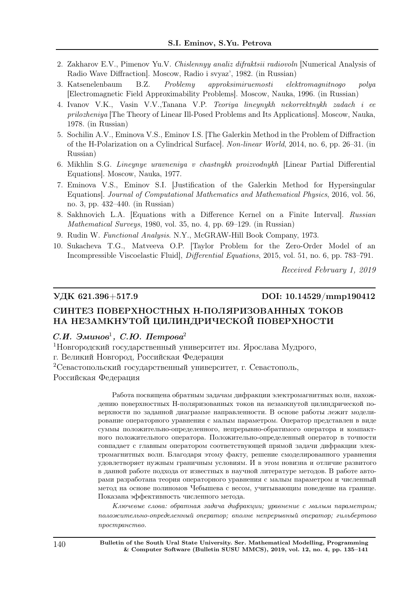- 2. Zakharov E.V., Pimenov Yu.V. Chislennyy analiz difraktsii radiovoln [Numerical Analysis of Radio Wave Diffraction]. Moscow, Radio i svyaz', 1982. (in Russian)
- 3. Katsenelenbaum B.Z. Problemy approksimiruemosti elektromagnitnogo polya [Electromagnetic Field Approximability Problems]. Moscow, Nauka, 1996. (in Russian)
- 4. Ivanov V.K., Vasin V.V.,Tanana V.P. Teoriya lineynykh nekorrektnykh zadach i ee prilozheniya [The Theory of Linear Ill-Posed Problems and Its Applications]. Moscow, Nauka, 1978. (in Russian)
- 5. Sochilin A.V., Eminova V.S., Eminov I.S. [The Galerkin Method in the Problem of Diffraction of the H-Polarization on a Cylindrical Surface]. Non-linear World, 2014, no. 6, pp. 26–31. (in Russian)
- 6. Mikhlin S.G. Lineynye uravneniya v chastnykh proizvodnykh [Linear Partial Differential Equations]. Moscow, Nauka, 1977.
- 7. Eminova V.S., Eminov S.I. [Justification of the Galerkin Method for Hypersingular Equations]. Journal of Computational Mathematics and Mathematical Physics, 2016, vol. 56, no. 3, pp. 432–440. (in Russian)
- 8. Sakhnovich L.A. [Equations with a Difference Kernel on a Finite Interval]. Russian Mathematical Surveys, 1980, vol. 35, no. 4, pp. 69–129. (in Russian)
- 9. Rudin W. Functional Analysis. N.Y., McGRAW-Hill Book Company, 1973.
- 10. Sukacheva T.G., Matveeva O.P. [Taylor Problem for the Zero-Order Model of an Incompressible Viscoelastic Fluid], Differential Equations, 2015, vol. 51, no. 6, pp. 783–791.

Received February 1, 2019

#### УДК 621.396+517.9 DOI: 10.14529/mmp190412

# СИНТЕЗ ПОВЕРХНОСТНЫХ H-ПОЛЯРИЗОВАННЫХ ТОКОВ НА НЕЗАМКНУТОЙ ЦИЛИНДРИЧЕСКОЙ ПОВЕРХНОСТИ

## С.И. Эминов<sup>1</sup>, С.Ю. Петрова<sup>2</sup>

<sup>1</sup>Новгородский государственный университет им. Ярослава Мудрого, г. Великий Новгород, Российская Федерация <sup>2</sup>Севастопольский государственный университет, г. Севастополь,

Российская Федерация

Работа посвящена обратным задачам дифракции электромагнитных волн, нахождению поверхностных H-поляризованных токов на незамкнутой цилиндрической поверхности по заданной диаграмме направленности. В основе работы лежит моделирование операторного уравнения с малым параметром. Оператор представлен в виде суммы положительно-определенного, непрерывно-обратимого оператора и компактного положительного оператора. Положительно-определенный оператор в точности совпадает с главным оператором соответствующей прямой задачи дифракции электромагнитных волн. Благодаря этому факту, решение смоделированного уравнения удовлетворяет нужным граничным условиям. И в этом новизна и отличие развитого в данной работе подхода от известных в научной литературе методов. В работе авторами разработана теория операторного уравнения с малым параметром и численный метод на основе полиномов Чебышева с весом, учитывающим поведение на границе. Показана эффективность численного метода.

Ключевые слова: обратная задача дифракции; уравнение с малым параметром; положительно-определенный оператор; вполне непрерывный оператор; гильбертово пространство.